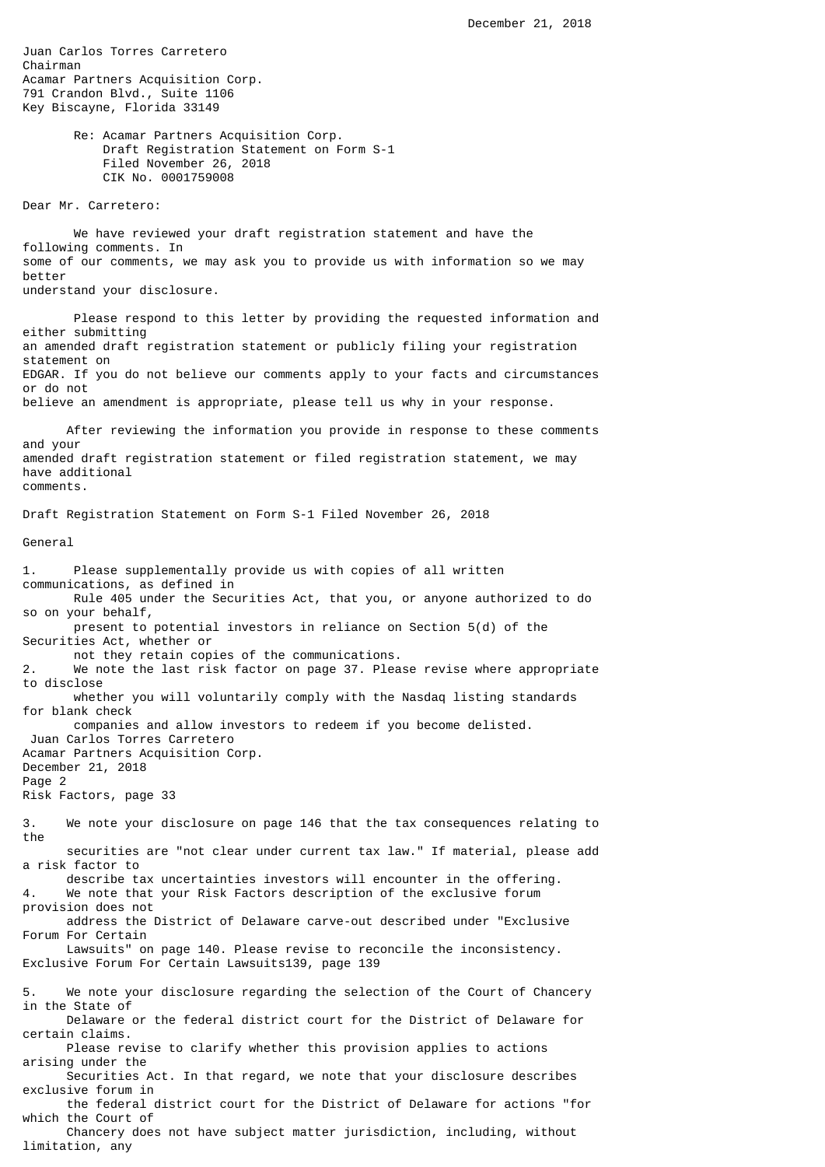Juan Carlos Torres Carretero Chairman Acamar Partners Acquisition Corp. 791 Crandon Blvd., Suite 1106 Key Biscayne, Florida 33149

> Re: Acamar Partners Acquisition Corp. Draft Registration Statement on Form S-1 Filed November 26, 2018 CIK No. 0001759008

Dear Mr. Carretero:

 We have reviewed your draft registration statement and have the following comments. In some of our comments, we may ask you to provide us with information so we may better understand your disclosure.

 Please respond to this letter by providing the requested information and either submitting an amended draft registration statement or publicly filing your registration statement on EDGAR. If you do not believe our comments apply to your facts and circumstances or do not believe an amendment is appropriate, please tell us why in your response.

 After reviewing the information you provide in response to these comments and your amended draft registration statement or filed registration statement, we may have additional comments.

Draft Registration Statement on Form S-1 Filed November 26, 2018

General

limitation, any

1. Please supplementally provide us with copies of all written communications, as defined in Rule 405 under the Securities Act, that you, or anyone authorized to do so on your behalf, present to potential investors in reliance on Section 5(d) of the Securities Act, whether or not they retain copies of the communications. 2. We note the last risk factor on page 37. Please revise where appropriate to disclose whether you will voluntarily comply with the Nasdaq listing standards for blank check companies and allow investors to redeem if you become delisted. Juan Carlos Torres Carretero Acamar Partners Acquisition Corp. December 21, 2018 Page 2 Risk Factors, page 33 3. We note your disclosure on page 146 that the tax consequences relating to the securities are "not clear under current tax law." If material, please add a risk factor to describe tax uncertainties investors will encounter in the offering. We note that your Risk Factors description of the exclusive forum provision does not address the District of Delaware carve-out described under "Exclusive Forum For Certain Lawsuits" on page 140. Please revise to reconcile the inconsistency. Exclusive Forum For Certain Lawsuits139, page 139 5. We note your disclosure regarding the selection of the Court of Chancery in the State of Delaware or the federal district court for the District of Delaware for certain claims. Please revise to clarify whether this provision applies to actions arising under the Securities Act. In that regard, we note that your disclosure describes exclusive forum in the federal district court for the District of Delaware for actions "for which the Court of Chancery does not have subject matter jurisdiction, including, without